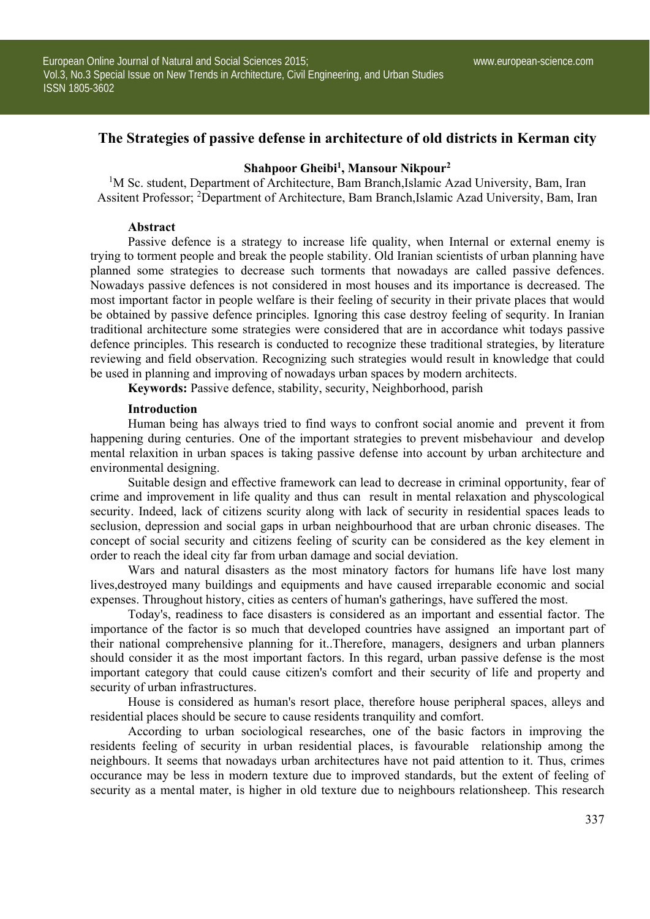# **The Strategies of passive defense in architecture of old districts in Kerman city**

## **Shahpoor Gheibi1, Mansour Nikpour2**

<sup>1</sup>M Sc. student, Department of Architecture, Bam Branch, Islamic Azad University, Bam, Iran Assitent Professor; <sup>2</sup>Department of Architecture, Bam Branch, Islamic Azad University, Bam, Iran

### **Abstract**

Passive defence is a strategy to increase life quality, when Internal or external enemy is trying to torment people and break the people stability. Old Iranian scientists of urban planning have planned some strategies to decrease such torments that nowadays are called passive defences. Nowadays passive defences is not considered in most houses and its importance is decreased. The most important factor in people welfare is their feeling of security in their private places that would be obtained by passive defence principles. Ignoring this case destroy feeling of sequrity. In Iranian traditional architecture some strategies were considered that are in accordance whit todays passive defence principles. This research is conducted to recognize these traditional strategies, by literature reviewing and field observation. Recognizing such strategies would result in knowledge that could be used in planning and improving of nowadays urban spaces by modern architects.

**Keywords:** Passive defence, stability, security, Neighborhood, parish

#### **Introduction**

Human being has always tried to find ways to confront social anomie and prevent it from happening during centuries. One of the important strategies to prevent misbehaviour and develop mental relaxition in urban spaces is taking passive defense into account by urban architecture and environmental designing.

Suitable design and effective framework can lead to decrease in criminal opportunity, fear of crime and improvement in life quality and thus can result in mental relaxation and physcological security. Indeed, lack of citizens scurity along with lack of security in residential spaces leads to seclusion, depression and social gaps in urban neighbourhood that are urban chronic diseases. The concept of social security and citizens feeling of scurity can be considered as the key element in order to reach the ideal city far from urban damage and social deviation.

Wars and natural disasters as the most minatory factors for humans life have lost many lives,destroyed many buildings and equipments and have caused irreparable economic and social expenses. Throughout history, cities as centers of human's gatherings, have suffered the most.

Today's, readiness to face disasters is considered as an important and essential factor. The importance of the factor is so much that developed countries have assigned an important part of their national comprehensive planning for it..Therefore, managers, designers and urban planners should consider it as the most important factors. In this regard, urban passive defense is the most important category that could cause citizen's comfort and their security of life and property and security of urban infrastructures.

House is considered as human's resort place, therefore house peripheral spaces, alleys and residential places should be secure to cause residents tranquility and comfort.

According to urban sociological researches, one of the basic factors in improving the residents feeling of security in urban residential places, is favourable relationship among the neighbours. It seems that nowadays urban architectures have not paid attention to it. Thus, crimes occurance may be less in modern texture due to improved standards, but the extent of feeling of security as a mental mater, is higher in old texture due to neighbours relationsheep. This research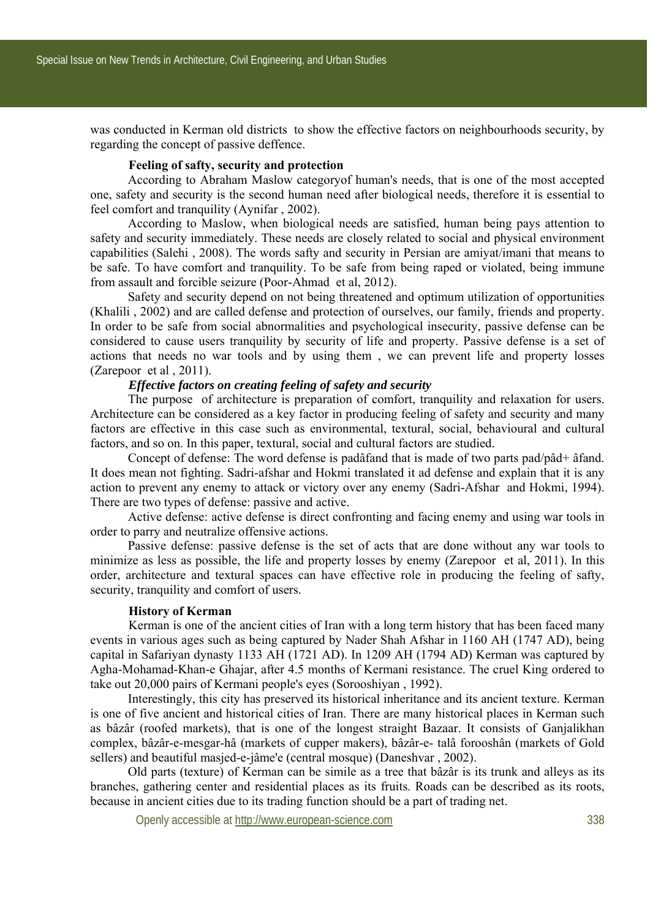was conducted in Kerman old districts to show the effective factors on neighbourhoods security, by regarding the concept of passive deffence.

## **Feeling of safty, security and protection**

According to Abraham Maslow categoryof human's needs, that is one of the most accepted one, safety and security is the second human need after biological needs, therefore it is essential to feel comfort and tranquility (Aynifar , 2002).

According to Maslow, when biological needs are satisfied, human being pays attention to safety and security immediately. These needs are closely related to social and physical environment capabilities (Salehi , 2008). The words safty and security in Persian are amiyat/imani that means to be safe. To have comfort and tranquility. To be safe from being raped or violated, being immune from assault and forcible seizure (Poor-Ahmad et al, 2012).

Safety and security depend on not being threatened and optimum utilization of opportunities (Khalili , 2002) and are called defense and protection of ourselves, our family, friends and property. In order to be safe from social abnormalities and psychological insecurity, passive defense can be considered to cause users tranquility by security of life and property. Passive defense is a set of actions that needs no war tools and by using them , we can prevent life and property losses (Zarepoor et al , 2011).

## *Effective factors on creating feeling of safety and security*

The purpose of architecture is preparation of comfort, tranquility and relaxation for users. Architecture can be considered as a key factor in producing feeling of safety and security and many factors are effective in this case such as environmental, textural, social, behavioural and cultural factors, and so on. In this paper, textural, social and cultural factors are studied.

Concept of defense: The word defense is padâfand that is made of two parts pad/pâd+ âfand. It does mean not fighting. Sadri-afshar and Hokmi translated it ad defense and explain that it is any action to prevent any enemy to attack or victory over any enemy (Sadri-Afshar and Hokmi, 1994). There are two types of defense: passive and active.

Active defense: active defense is direct confronting and facing enemy and using war tools in order to parry and neutralize offensive actions.

Passive defense: passive defense is the set of acts that are done without any war tools to minimize as less as possible, the life and property losses by enemy (Zarepoor et al, 2011). In this order, architecture and textural spaces can have effective role in producing the feeling of safty, security, tranquility and comfort of users.

#### **History of Kerman**

 Kerman is one of the ancient cities of Iran with a long term history that has been faced many events in various ages such as being captured by Nader Shah Afshar in 1160 AH (1747 AD), being capital in Safariyan dynasty 1133 AH (1721 AD). In 1209 AH (1794 AD) Kerman was captured by Agha-Mohamad-Khan-e Ghajar, after 4.5 months of Kermani resistance. The cruel King ordered to take out 20,000 pairs of Kermani people's eyes (Sorooshiyan , 1992).

Interestingly, this city has preserved its historical inheritance and its ancient texture. Kerman is one of five ancient and historical cities of Iran. There are many historical places in Kerman such as bâzâr (roofed markets), that is one of the longest straight Bazaar. It consists of Ganjalikhan complex, bâzâr-e-mesgar-hâ (markets of cupper makers), bâzâr-e- talâ forooshân (markets of Gold sellers) and beautiful masjed-e-jâme'e (central mosque) (Daneshvar , 2002).

Old parts (texture) of Kerman can be simile as a tree that bâzâr is its trunk and alleys as its branches, gathering center and residential places as its fruits. Roads can be described as its roots, because in ancient cities due to its trading function should be a part of trading net.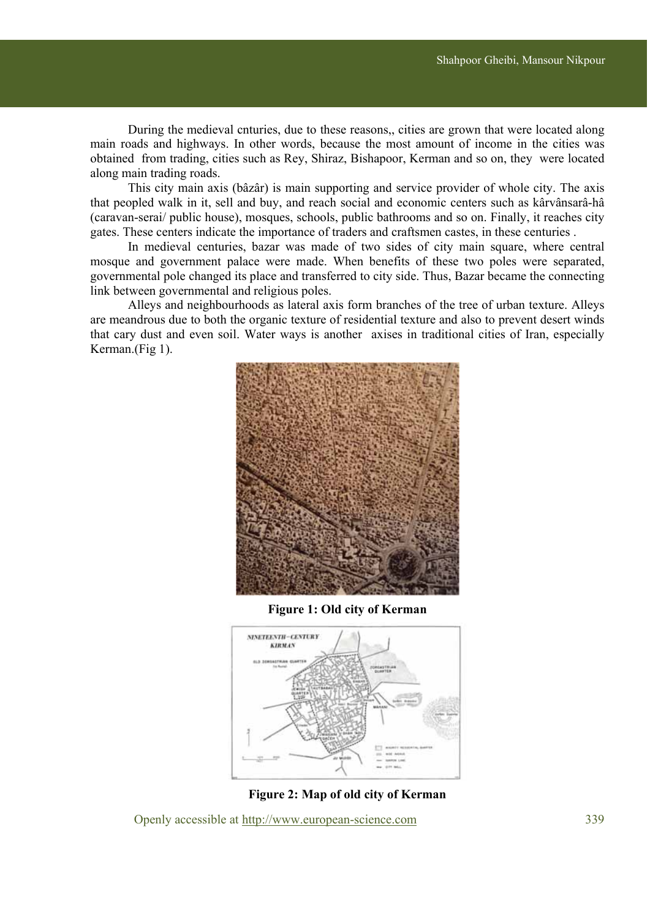During the medieval cnturies, due to these reasons,, cities are grown that were located along main roads and highways. In other words, because the most amount of income in the cities was obtained from trading, cities such as Rey, Shiraz, Bishapoor, Kerman and so on, they were located along main trading roads.

This city main axis (bâzâr) is main supporting and service provider of whole city. The axis that peopled walk in it, sell and buy, and reach social and economic centers such as kârvânsarâ-hâ (caravan-serai/ public house), mosques, schools, public bathrooms and so on. Finally, it reaches city gates. These centers indicate the importance of traders and craftsmen castes, in these centuries .

In medieval centuries, bazar was made of two sides of city main square, where central mosque and government palace were made. When benefits of these two poles were separated, governmental pole changed its place and transferred to city side. Thus, Bazar became the connecting link between governmental and religious poles.

Alleys and neighbourhoods as lateral axis form branches of the tree of urban texture. Alleys are meandrous due to both the organic texture of residential texture and also to prevent desert winds that cary dust and even soil. Water ways is another axises in traditional cities of Iran, especially Kerman.(Fig 1).



**Figure 1: Old city of Kerman** 



**Figure 2: Map of old city of Kerman**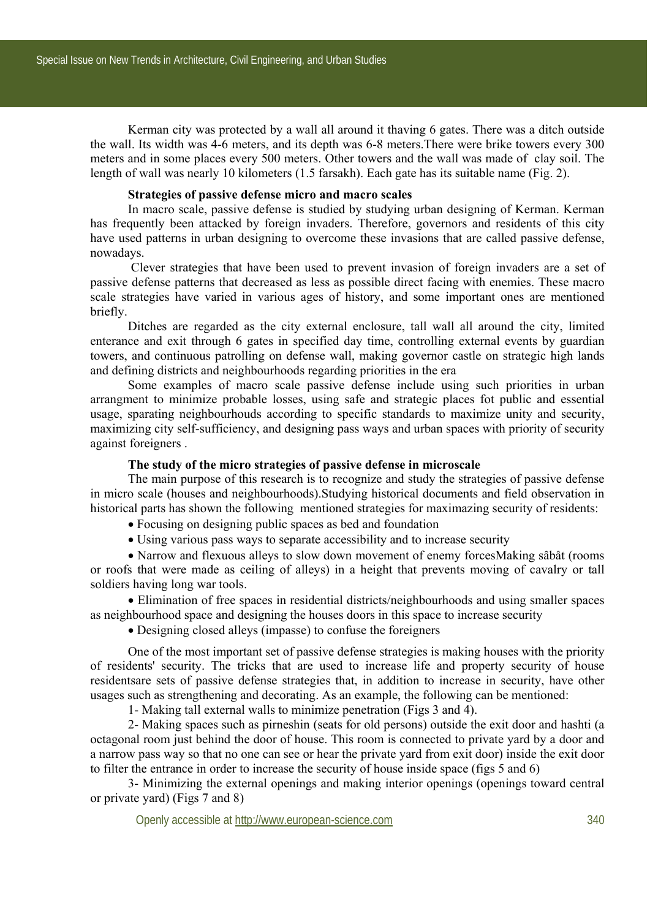Kerman city was protected by a wall all around it thaving 6 gates. There was a ditch outside the wall. Its width was 4-6 meters, and its depth was 6-8 meters.There were brike towers every 300 meters and in some places every 500 meters. Other towers and the wall was made of clay soil. The length of wall was nearly 10 kilometers (1.5 farsakh). Each gate has its suitable name (Fig. 2).

## **Strategies of passive defense micro and macro scales**

In macro scale, passive defense is studied by studying urban designing of Kerman. Kerman has frequently been attacked by foreign invaders. Therefore, governors and residents of this city have used patterns in urban designing to overcome these invasions that are called passive defense. nowadays.

 Clever strategies that have been used to prevent invasion of foreign invaders are a set of passive defense patterns that decreased as less as possible direct facing with enemies. These macro scale strategies have varied in various ages of history, and some important ones are mentioned briefly.

Ditches are regarded as the city external enclosure, tall wall all around the city, limited enterance and exit through 6 gates in specified day time, controlling external events by guardian towers, and continuous patrolling on defense wall, making governor castle on strategic high lands and defining districts and neighbourhoods regarding priorities in the era

Some examples of macro scale passive defense include using such priorities in urban arrangment to minimize probable losses, using safe and strategic places fot public and essential usage, sparating neighbourhouds according to specific standards to maximize unity and security, maximizing city self-sufficiency, and designing pass ways and urban spaces with priority of security against foreigners .

## **The study of the micro strategies of passive defense in microscale**

The main purpose of this research is to recognize and study the strategies of passive defense in micro scale (houses and neighbourhoods).Studying historical documents and field observation in historical parts has shown the following mentioned strategies for maximazing security of residents:

- Focusing on designing public spaces as bed and foundation
- Using various pass ways to separate accessibility and to increase security

 Narrow and flexuous alleys to slow down movement of enemy forcesMaking sâbât (rooms or roofs that were made as ceiling of alleys) in a height that prevents moving of cavalry or tall soldiers having long war tools.

 Elimination of free spaces in residential districts/neighbourhoods and using smaller spaces as neighbourhood space and designing the houses doors in this space to increase security

Designing closed alleys (impasse) to confuse the foreigners

One of the most important set of passive defense strategies is making houses with the priority of residents' security. The tricks that are used to increase life and property security of house residentsare sets of passive defense strategies that, in addition to increase in security, have other usages such as strengthening and decorating. As an example, the following can be mentioned:

1- Making tall external walls to minimize penetration (Figs 3 and 4).

2- Making spaces such as pirneshin (seats for old persons) outside the exit door and hashti (a octagonal room just behind the door of house. This room is connected to private yard by a door and a narrow pass way so that no one can see or hear the private yard from exit door) inside the exit door to filter the entrance in order to increase the security of house inside space (figs 5 and 6)

3- Minimizing the external openings and making interior openings (openings toward central or private yard) (Figs 7 and 8)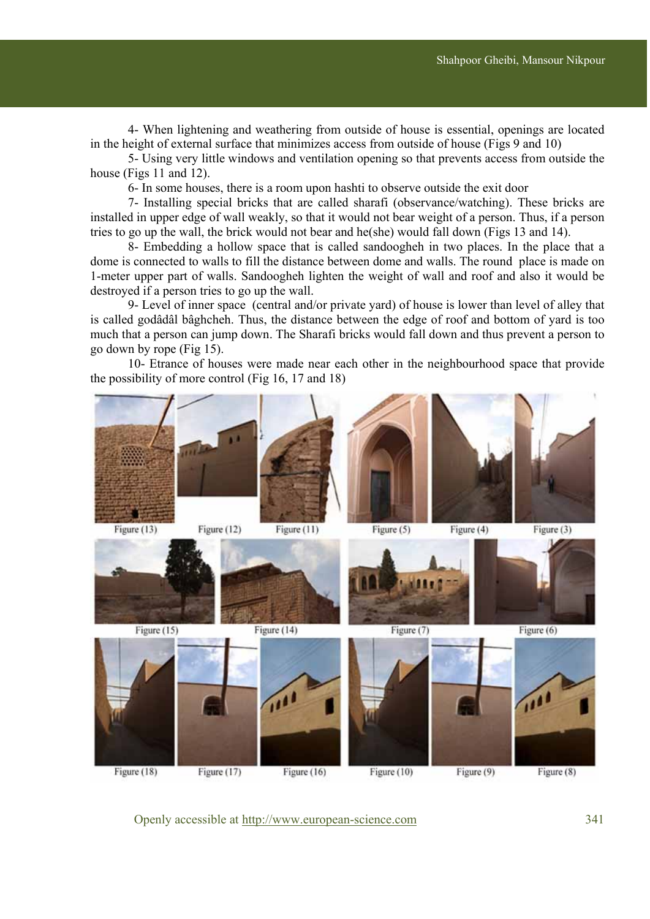4- When lightening and weathering from outside of house is essential, openings are located in the height of external surface that minimizes access from outside of house (Figs 9 and 10)

5- Using very little windows and ventilation opening so that prevents access from outside the house (Figs 11 and 12).

6- In some houses, there is a room upon hashti to observe outside the exit door

7- Installing special bricks that are called sharafi (observance/watching). These bricks are installed in upper edge of wall weakly, so that it would not bear weight of a person. Thus, if a person tries to go up the wall, the brick would not bear and he(she) would fall down (Figs 13 and 14).

8- Embedding a hollow space that is called sandoogheh in two places. In the place that a dome is connected to walls to fill the distance between dome and walls. The round place is made on 1-meter upper part of walls. Sandoogheh lighten the weight of wall and roof and also it would be destroyed if a person tries to go up the wall.

9- Level of inner space (central and/or private yard) of house is lower than level of alley that is called godâdâl bâghcheh. Thus, the distance between the edge of roof and bottom of yard is too much that a person can jump down. The Sharafi bricks would fall down and thus prevent a person to go down by rope (Fig 15).

10- Etrance of houses were made near each other in the neighbourhood space that provide the possibility of more control (Fig 16, 17 and 18)